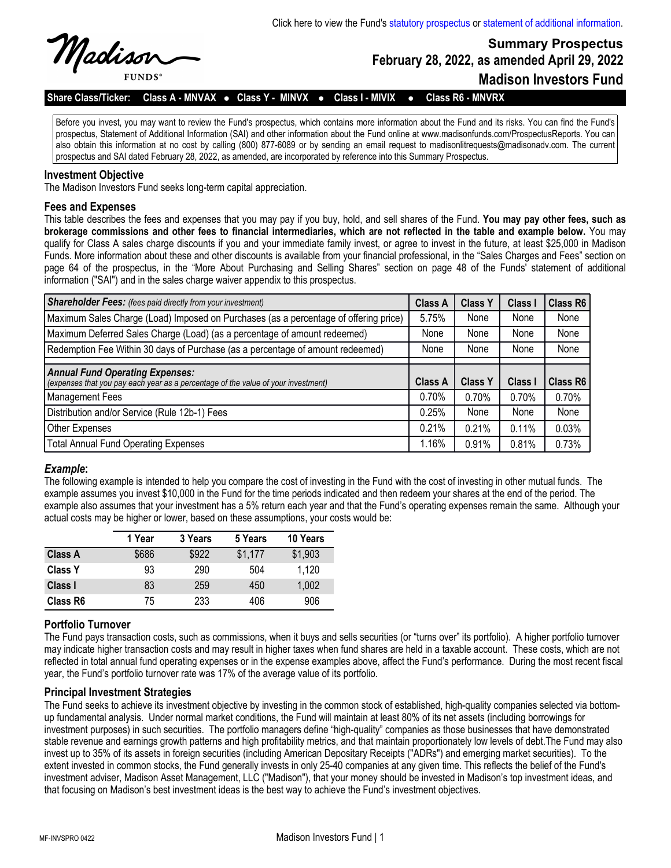

**February 28, 2022, as amended April 29, 2022**

**Madison Investors Fund**

**Summary Prospectus**

**Share Class/Ticker: Class A - MNVAX** l **Class Y - MINVX** l **Class I - MIVIX** l **Class R6 - MNVRX**

Before you invest, you may want to review the Fund's prospectus, which contains more information about the Fund and its risks. You can find the Fund's prospectus, Statement of Additional Information (SAI) and other information about the Fund online at www.madisonfunds.com/ProspectusReports. You can also obtain this information at no cost by calling (800) 877-6089 or by sending an email request to madisonlitrequests@madisonadv.com. The current prospectus and SAI dated February 28, 2022, as amended, are incorporated by reference into this Summary Prospectus.

### **Investment Objective**

The Madison Investors Fund seeks long-term capital appreciation.

## **Fees and Expenses**

This table describes the fees and expenses that you may pay if you buy, hold, and sell shares of the Fund. **You may pay other fees, such as brokerage commissions and other fees to financial intermediaries, which are not reflected in the table and example below.** You may qualify for Class A sales charge discounts if you and your immediate family invest, or agree to invest in the future, at least \$25,000 in Madison Funds. More information about these and other discounts is available from your financial professional, in the "Sales Charges and Fees" section on page 64 of the prospectus, in the "More About Purchasing and Selling Shares" section on page 48 of the Funds' statement of additional information ("SAI") and in the sales charge waiver appendix to this prospectus.

| <b>Shareholder Fees:</b> (fees paid directly from your investment)                                                          | <b>Class A</b> | <b>Class Y</b> | Class I | <b>Class R6</b> |
|-----------------------------------------------------------------------------------------------------------------------------|----------------|----------------|---------|-----------------|
| Maximum Sales Charge (Load) Imposed on Purchases (as a percentage of offering price)                                        | 5.75%          | None           | None    | None            |
| Maximum Deferred Sales Charge (Load) (as a percentage of amount redeemed)                                                   | None           | None           | None    | None            |
| Redemption Fee Within 30 days of Purchase (as a percentage of amount redeemed)                                              | None           | None           | None    | None            |
|                                                                                                                             |                |                |         |                 |
| <b>Annual Fund Operating Expenses:</b><br>(expenses that you pay each year as a percentage of the value of your investment) | <b>Class A</b> | <b>Class Y</b> | Class I | <b>Class R6</b> |
| <b>Management Fees</b>                                                                                                      | 0.70%          | 0.70%          | 0.70%   | 0.70%           |
| Distribution and/or Service (Rule 12b-1) Fees                                                                               | 0.25%          | None           | None    | None            |
| Other Expenses                                                                                                              | 0.21%          | 0.21%          | 0.11%   | 0.03%           |
| <b>Total Annual Fund Operating Expenses</b>                                                                                 | 1.16%          | 0.91%          | 0.81%   | 0.73%           |

#### *Example***:**

The following example is intended to help you compare the cost of investing in the Fund with the cost of investing in other mutual funds. The example assumes you invest \$10,000 in the Fund for the time periods indicated and then redeem your shares at the end of the period. The example also assumes that your investment has a 5% return each year and that the Fund's operating expenses remain the same. Although your actual costs may be higher or lower, based on these assumptions, your costs would be:

|                | 1 Year | 3 Years | 5 Years | 10 Years |
|----------------|--------|---------|---------|----------|
| <b>Class A</b> | \$686  | \$922   | \$1,177 | \$1,903  |
| <b>Class Y</b> | 93     | 290     | 504     | 1,120    |
| Class I        | 83     | 259     | 450     | 1,002    |
| Class R6       | 75     | 233     | 406     | 906      |

## **Portfolio Turnover**

The Fund pays transaction costs, such as commissions, when it buys and sells securities (or "turns over" its portfolio). A higher portfolio turnover may indicate higher transaction costs and may result in higher taxes when fund shares are held in a taxable account. These costs, which are not reflected in total annual fund operating expenses or in the expense examples above, affect the Fund's performance. During the most recent fiscal year, the Fund's portfolio turnover rate was 17% of the average value of its portfolio.

#### **Principal Investment Strategies**

The Fund seeks to achieve its investment objective by investing in the common stock of established, high-quality companies selected via bottomup fundamental analysis. Under normal market conditions, the Fund will maintain at least 80% of its net assets (including borrowings for investment purposes) in such securities. The portfolio managers define "high-quality" companies as those businesses that have demonstrated stable revenue and earnings growth patterns and high profitability metrics, and that maintain proportionately low levels of debt.The Fund may also invest up to 35% of its assets in foreign securities (including American Depositary Receipts ("ADRs") and emerging market securities). To the extent invested in common stocks, the Fund generally invests in only 25-40 companies at any given time. This reflects the belief of the Fund's investment adviser, Madison Asset Management, LLC ("Madison"), that your money should be invested in Madison's top investment ideas, and that focusing on Madison's best investment ideas is the best way to achieve the Fund's investment objectives.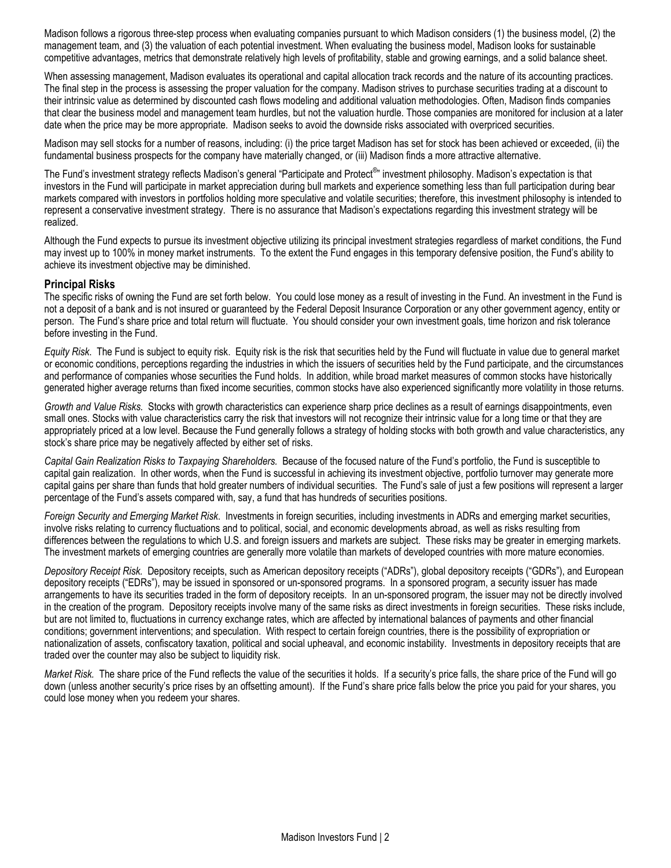Madison follows a rigorous three-step process when evaluating companies pursuant to which Madison considers (1) the business model, (2) the management team, and (3) the valuation of each potential investment. When evaluating the business model, Madison looks for sustainable competitive advantages, metrics that demonstrate relatively high levels of profitability, stable and growing earnings, and a solid balance sheet.

When assessing management, Madison evaluates its operational and capital allocation track records and the nature of its accounting practices. The final step in the process is assessing the proper valuation for the company. Madison strives to purchase securities trading at a discount to their intrinsic value as determined by discounted cash flows modeling and additional valuation methodologies. Often, Madison finds companies that clear the business model and management team hurdles, but not the valuation hurdle. Those companies are monitored for inclusion at a later date when the price may be more appropriate. Madison seeks to avoid the downside risks associated with overpriced securities.

Madison may sell stocks for a number of reasons, including: (i) the price target Madison has set for stock has been achieved or exceeded, (ii) the fundamental business prospects for the company have materially changed, or (iii) Madison finds a more attractive alternative.

The Fund's investment strategy reflects Madison's general "Participate and Protect<sup>®</sup>" investment philosophy. Madison's expectation is that investors in the Fund will participate in market appreciation during bull markets and experience something less than full participation during bear markets compared with investors in portfolios holding more speculative and volatile securities; therefore, this investment philosophy is intended to represent a conservative investment strategy. There is no assurance that Madison's expectations regarding this investment strategy will be realized.

Although the Fund expects to pursue its investment objective utilizing its principal investment strategies regardless of market conditions, the Fund may invest up to 100% in money market instruments. To the extent the Fund engages in this temporary defensive position, the Fund's ability to achieve its investment objective may be diminished.

## **Principal Risks**

The specific risks of owning the Fund are set forth below. You could lose money as a result of investing in the Fund. An investment in the Fund is not a deposit of a bank and is not insured or guaranteed by the Federal Deposit Insurance Corporation or any other government agency, entity or person. The Fund's share price and total return will fluctuate. You should consider your own investment goals, time horizon and risk tolerance before investing in the Fund.

*Equity Risk*. The Fund is subject to equity risk. Equity risk is the risk that securities held by the Fund will fluctuate in value due to general market or economic conditions, perceptions regarding the industries in which the issuers of securities held by the Fund participate, and the circumstances and performance of companies whose securities the Fund holds. In addition, while broad market measures of common stocks have historically generated higher average returns than fixed income securities, common stocks have also experienced significantly more volatility in those returns.

*Growth and Value Risks.* Stocks with growth characteristics can experience sharp price declines as a result of earnings disappointments, even small ones. Stocks with value characteristics carry the risk that investors will not recognize their intrinsic value for a long time or that they are appropriately priced at a low level. Because the Fund generally follows a strategy of holding stocks with both growth and value characteristics, any stock's share price may be negatively affected by either set of risks.

*Capital Gain Realization Risks to Taxpaying Shareholders.* Because of the focused nature of the Fund's portfolio, the Fund is susceptible to capital gain realization. In other words, when the Fund is successful in achieving its investment objective, portfolio turnover may generate more capital gains per share than funds that hold greater numbers of individual securities. The Fund's sale of just a few positions will represent a larger percentage of the Fund's assets compared with, say, a fund that has hundreds of securities positions.

*Foreign Security and Emerging Market Risk*. Investments in foreign securities, including investments in ADRs and emerging market securities, involve risks relating to currency fluctuations and to political, social, and economic developments abroad, as well as risks resulting from differences between the regulations to which U.S. and foreign issuers and markets are subject. These risks may be greater in emerging markets. The investment markets of emerging countries are generally more volatile than markets of developed countries with more mature economies.

*Depository Receipt Risk.* Depository receipts, such as American depository receipts ("ADRs"), global depository receipts ("GDRs"), and European depository receipts ("EDRs"), may be issued in sponsored or un-sponsored programs. In a sponsored program, a security issuer has made arrangements to have its securities traded in the form of depository receipts. In an un-sponsored program, the issuer may not be directly involved in the creation of the program. Depository receipts involve many of the same risks as direct investments in foreign securities. These risks include, but are not limited to, fluctuations in currency exchange rates, which are affected by international balances of payments and other financial conditions; government interventions; and speculation. With respect to certain foreign countries, there is the possibility of expropriation or nationalization of assets, confiscatory taxation, political and social upheaval, and economic instability. Investments in depository receipts that are traded over the counter may also be subject to liquidity risk.

*Market Risk.* The share price of the Fund reflects the value of the securities it holds. If a security's price falls, the share price of the Fund will go down (unless another security's price rises by an offsetting amount). If the Fund's share price falls below the price you paid for your shares, you could lose money when you redeem your shares.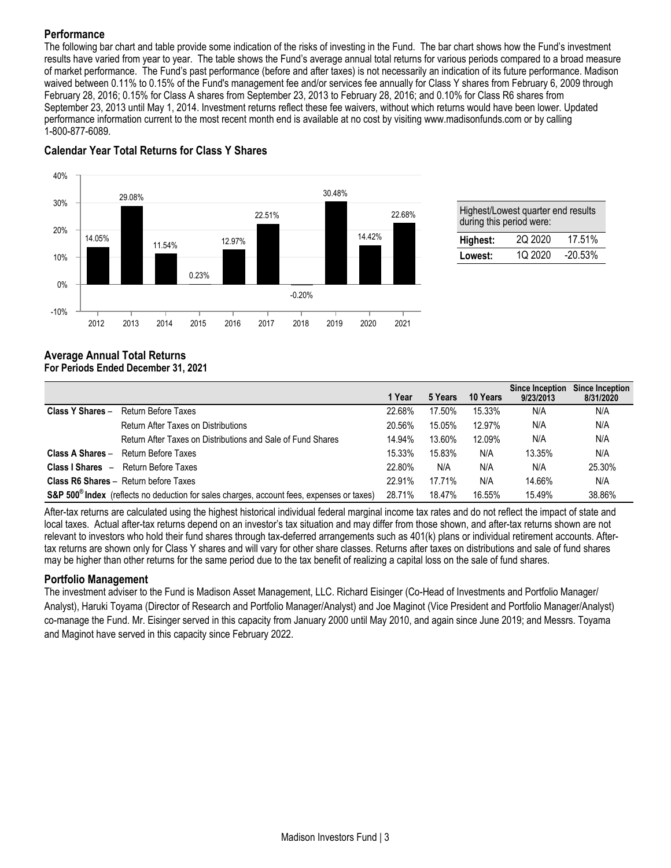# **Performance**

The following bar chart and table provide some indication of the risks of investing in the Fund. The bar chart shows how the Fund's investment results have varied from year to year. The table shows the Fund's average annual total returns for various periods compared to a broad measure of market performance. The Fund's past performance (before and after taxes) is not necessarily an indication of its future performance. Madison waived between 0.11% to 0.15% of the Fund's management fee and/or services fee annually for Class Y shares from February 6, 2009 through February 28, 2016; 0.15% for Class A shares from September 23, 2013 to February 28, 2016; and 0.10% for Class R6 shares from September 23, 2013 until May 1, 2014. Investment returns reflect these fee waivers, without which returns would have been lower. Updated performance information current to the most recent month end is available at no cost by visiting www.madisonfunds.com or by calling 1-800-877-6089.



# **Calendar Year Total Returns for Class Y Shares**

| Highest/Lowest quarter end results |  |  |
|------------------------------------|--|--|
|------------------------------------|--|--|

# **Average Annual Total Returns**

# **For Periods Ended December 31, 2021**

|                  |                                                                                                       | 1 Year | 5 Years | 10 Years | <b>Since Inception</b><br>9/23/2013 | Since Inception<br>8/31/2020 |
|------------------|-------------------------------------------------------------------------------------------------------|--------|---------|----------|-------------------------------------|------------------------------|
| Class Y Shares - | Return Before Taxes                                                                                   | 22.68% | 17.50%  | 15.33%   | N/A                                 | N/A                          |
|                  | Return After Taxes on Distributions                                                                   | 20.56% | 15.05%  | 12.97%   | N/A                                 | N/A                          |
|                  | Return After Taxes on Distributions and Sale of Fund Shares                                           | 14.94% | 13.60%  | 12.09%   | N/A                                 | N/A                          |
| Class A Shares - | Return Before Taxes                                                                                   | 15.33% | 15.83%  | N/A      | 13.35%                              | N/A                          |
|                  | <b>Class I Shares</b> - Return Before Taxes                                                           | 22.80% | N/A     | N/A      | N/A                                 | 25.30%                       |
|                  | <b>Class R6 Shares - Return before Taxes</b>                                                          | 22.91% | 17.71%  | N/A      | 14.66%                              | N/A                          |
|                  | S&P 500 <sup>®</sup> Index (reflects no deduction for sales charges, account fees, expenses or taxes) | 28.71% | 18.47%  | 16.55%   | 15.49%                              | 38.86%                       |

After-tax returns are calculated using the highest historical individual federal marginal income tax rates and do not reflect the impact of state and local taxes. Actual after-tax returns depend on an investor's tax situation and may differ from those shown, and after-tax returns shown are not relevant to investors who hold their fund shares through tax-deferred arrangements such as 401(k) plans or individual retirement accounts. Aftertax returns are shown only for Class Y shares and will vary for other share classes. Returns after taxes on distributions and sale of fund shares may be higher than other returns for the same period due to the tax benefit of realizing a capital loss on the sale of fund shares.

## **Portfolio Management**

The investment adviser to the Fund is Madison Asset Management, LLC. Richard Eisinger (Co-Head of Investments and Portfolio Manager/ Analyst), Haruki Toyama (Director of Research and Portfolio Manager/Analyst) and Joe Maginot (Vice President and Portfolio Manager/Analyst) co-manage the Fund. Mr. Eisinger served in this capacity from January 2000 until May 2010, and again since June 2019; and Messrs. Toyama and Maginot have served in this capacity since February 2022.